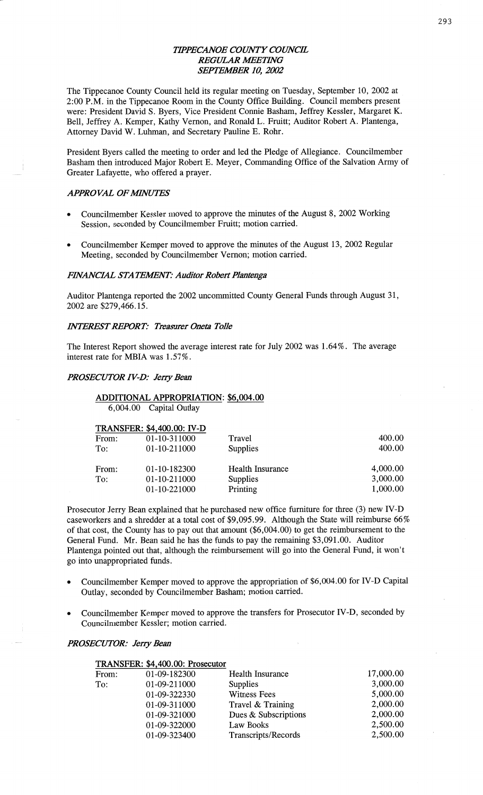# *TIPPECANOE COWTY COUNCE*  **REGULAR MEETING** *SEPTEA'lBER* 10, *2002*

The Tippecanoe County Council held its regular meeting on Tuesday, September 10, 2002 at *\_* 2:00 **P.M.** in the Tippecanoe **Room** in the County Office Building. Council members present were: President David S. Byers, Vice President Comic **Basham,** Jeffrey Kessler, Margaret K. Bell, Jeffrey A. Kemper, Kathy Vernon, and Ronald L. Fruitt; Auditor Robert A. Plantenga, Attorney **David** W. Luhman, and Secretary Pauline E. **Rohr.** 

President Byers called the meeting to order and led the Pledge of Allegiance. Councilmember Basham then introduced Major Robert E. Meyer, **Commanding** Office of the Salvation Army of Greater Lafayette, who offered a prayer.

#### *APPROVAL OFMVUTES*

- Councilmember Kessler moved to approve the minutes of the August 8, 2002 Working Session, seconded by Councilmember Fruitt; motion carried.
- **<sup>0</sup>**Councilmember Kemper moved to approve the **minutes** of the August 13, 2002 Regular Meeting, seconded by Councilmember Vernon; motion carried.

#### **FINANCIAL STATEMENT: Auditor Robert Plantenga**

Auditor Plantenga reported the 2002 uncommitted County General Funds through August 31, 2002 are \$279,466.15.

#### *HVTERESTREPORT: Treasurer Oneta T0116*

The Interest Report showed the average **interest** rate for July 2002 was 1.64%. The average interest rate for **MBIA** was 1.57%.

#### *PROSECUTOR IV-D: Jerry Bean*

# **ADDITIONAL APPROPRIATION:** \$6,004.00

6,004.00 Capital Outlay

|       | <b>TRANSFER: \$4,400.00: IV-D</b> |                         |          |
|-------|-----------------------------------|-------------------------|----------|
| From: | 01-10-311000                      | Travel                  | 400.00   |
| To:   | 01-10-211000                      | Supplies                | 400.00   |
| From: | 01-10-182300                      | <b>Health Insurance</b> | 4,000.00 |
| To:   | 01-10-211000                      | Supplies                | 3,000.00 |
|       | 01-10-221000                      | Printing                | 1,000.00 |

Prosecutor Jerry Bean **explained** that he purchased new office furniture for **three** (3) new **IV—D**  caseworkers and a shredder at **a** total cost of \$9,095.99. Although the State will reimburse 66% of that cost, the County has to pay out that amount (\$6,004.00) to get the reimbursement to the General Fund. Mr. **Bean** said he has the funds to pay the remaining \$3,091.00. Auditor Plantenga pointed out that, although the reimbursement will go into the General Fund, it won't go into unappropriated funds. *<sup>A</sup>*

- **o** Councilmember Kemper moved to approve the appropriation of \$6,004.00 for **IV—D** Capital Outlay, seconded by Councilmember **Basham; motion** carried.
- **0** Councilmember Kemper moved to approve the transfers for Prosecutor IV-D, seconded by Councilmember Kessler; motion carried.

#### *PROSECUTOR: Jerry Bean*

|       | TRANSFER: \$4,400.00: Prosecutor |                         |           |
|-------|----------------------------------|-------------------------|-----------|
| From: | 01-09-182300                     | <b>Health Insurance</b> | 17,000.00 |
| To:   | 01-09-211000                     | Supplies                | 3,000.00  |
|       | 01-09-322330                     | Witness Fees            | 5,000.00  |
|       | 01-09-311000                     | Travel & Training       | 2,000.00  |
|       | 01-09-321000                     | Dues & Subscriptions    | 2,000.00  |
|       | 01-09-322000                     | Law Books               | 2,500.00  |
|       | 01-09-323400                     | Transcripts/Records     | 2,500.00  |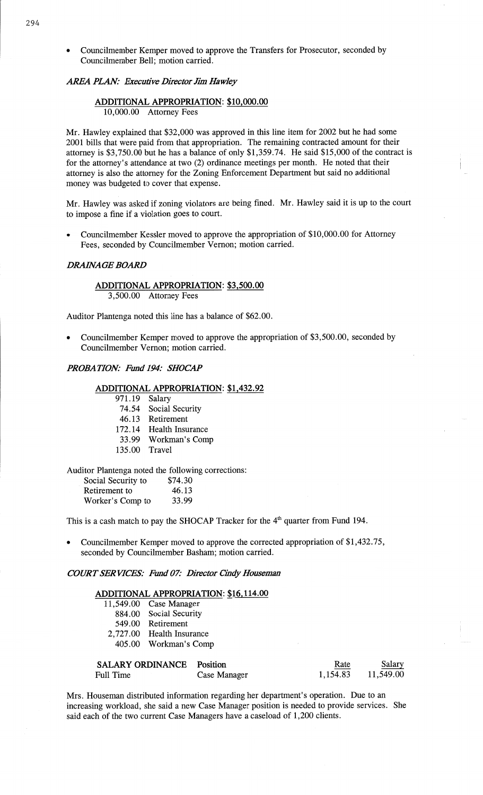**-** Councilmember Kemper moved to approve the Transfers for Prosecutor, seconded by Councilmember Bell; **motion** carried.

# *AREA PLAN: Executive Director* Jim Ha *WIey*

# **ADDITIONAL APPROPRIATION:** \$10,000.00

10,000.00 Attorney Fees

Mr. Hawley explained that \$32,000 was approved in this line item for 2002 but he had some 2001 bills that were paid from that appropriation. The remaining contracted **amount** for their attorney is \$3,750.00 but he has a balance of only \$1,359.74. He said \$15,000 of the contract is for the attorney's attendance at two (2) ordinance meetings per **month.** He noted that their attorney is also the attorney for the **Zoning** Enforcement Department but said no additional money was budgeted to cover that expense.

Mr. Hawley Was asked if zoning violators are being fined. Mr. Hawley said it is up to the court to impose **a** fine if a violation goes to court.

**<sup>0</sup>**Councilmember Kessler moved to approve the appropriation of \$10,000.00 for Attorney Fees, seconded by **Councilmember** Vernon; motion carried.

#### *DRAflVAGE BOARD*

## **ADDITIONAL APPROPRIATION:** \$3,500.00 3,500.00 **Attorney** Fees

Auditor Plantenga noted this line has a balance of \$62.00.

**0** Councilmember Kemper moved to approve the appropriation of \$3,500.00, seconded by Councilmember Vernon; motion carried.

#### *PROBAHON: Fund 194: SHOCAP*

## **ADDITIONAL APPROPRIATION: \$1,432.92**

**971.19** Salary

74.54 Social Security

46. 13 Retirement

172.14 Health Insurance

- 33.99 Workman's Comp
- 135.00 Travel

Auditor Plantenga noted the following corrections:<br>Social Security to  $$74.30$ 

| Social Security to | \$74.30 |
|--------------------|---------|
| Retirement to      | 46.13   |
| Worker's Comp to   | 33.99   |

This is a cash match to pay the SHOCAP Tracker for the  $4<sup>th</sup>$  quarter from Fund 194.

**0** Councilmember Kemper moved to approve the corrected appropriation of \$1,432.75, seconded by Councilmember Basham; motion carried.

*COIRT* SER *VIC'ES: Fund 072' Director Cindy Houseman* 

# **ADDITIONAL APPROPRIATION:** \$16, 114.00

| 11,549.00 Case Manager |  |  |
|------------------------|--|--|
|                        |  |  |

- 884.00 Social Security 549.00 Retirement
- 2,727.00 **Health** Insurance

405.00 Workman's Comp

| <b>SALARY ORDINANCE</b> Position |              | Rate     | Salary    |
|----------------------------------|--------------|----------|-----------|
| Full Time                        | Case Manager | 1,154.83 | 11,549.00 |

Mrs. **Houseman** distributed **information** regarding her department's operation. Due to an increasing workload, she said **a** new **Case** Manager position is needed to provide services. She said each of the two current **Case** Managers have a caseload of 1,200 clients.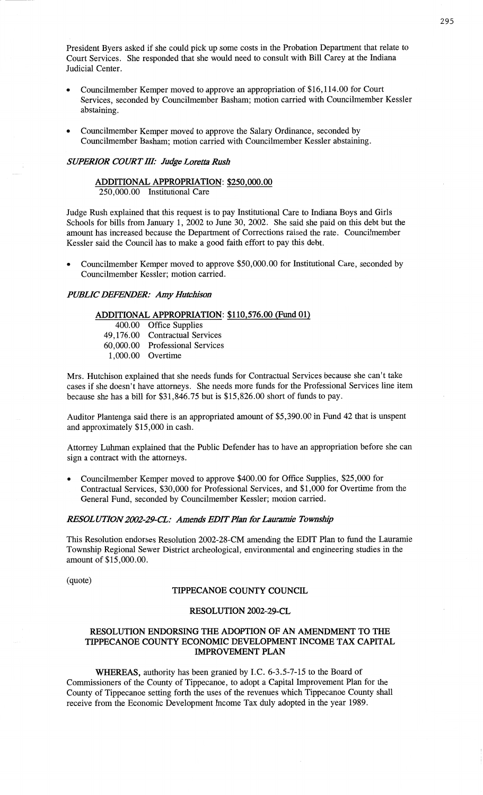President Byers asked if she could pick up **some** costs in the **Probation** Department **that** relate to Court Services. She responded **that** she would need to consult with Bill Carey at the **Indiana**  Judicial Center.

- Councilmember Kemper moved to approve an appropriation of \$16,114.00 for Court Services, seconded by Councilmember **Basham;** motion carried with Councilmember Kessler abstaining.
- Councilmember Kemper moved to approve the Salary Ordinance, seconded by Councilmember Basham; motion carried with Councilmember Kessler abstaining.

## *SUPERIOR COURT III: Judge Loretta Rush*

#### **ADDITIONAL APPROPRIATION:** \$250,000.00 250,000.00 Institutional Care

Judge Rush explained that this request is to pay Institutional Care to Indiana Boys and Girls Schools for bills from January 1, 2002 to June 30, 2002. She said she paid on this debt but the amount has increased because the Department of Corrections raised the rate. Councilmember Kessler said the Council has to make **a** good faith effort to pay this debt.

**0** Councilmember Kemper moved to approve \$50,000.00 for Institutional **Care,** seconded by Councilmember Kessler; motion carried.

### *PUBLIC DEFENDER:* Amy *Hutcbison*

# **ADDITIONAL APPROPRIATION:** \$110,576.00 **(Fund** 01)

| 400.00 Office Supplies          |
|---------------------------------|
| 49,176.00 Contractual Services  |
| 60,000.00 Professional Services |
| 1,000.00 Overtime               |

Mrs. Hutchison explained **that** she needs **funds** for Contractual Services because she can't take **cases** if she **doesn't** have attorneys. She needs more fimds for the Professional Services line item because she has a bill for \$31,846.75 but is \$15,826.00 short of **funds** to pay.

Auditor Plantenga said there is an appropriated amount of \$5,390.00 in **Fund** 42 that is unspent and approximately \$15,000 in cash.

Attorney **Luhman explained** that the Public Defender has to **have** an appropriation before she can **sign** a contract with the attorneys.

Councilmember Kemper moved to approve \$400.00 for Office Supplies, \$25,000 for Contractual Services, \$30,000 for Professional Services, and \$1,000 for Overtime from the General Fund, seconded by Councilmember Kessler; motion carried.

### *RESOLUTION 2002-29-CL: Amends EDIT Plan for Lauramie Township*

**This** Resolution endorses **Resolution** 2002-28-CM amending the EDIT **Plan** to fund the **Lauramie**  Township Regional Sewer District archeological, environmental and engineering studies in the amount of \$15,000.00.

(quote)

#### **TIPPECANOE COUNTY COUNCIL**

#### **RESOLUTION 2002—29—CL**

## **RESOLUTION ENDORSING** THE **ADOPTION** OF AN **AMENDMENT** TO THE **TIPPECANOE COUNTY ECONOMIC DEVELOPMENTINCOME** TAX **CAPITAL IMPROVEMENT PLAN**

**WHEREAS,** authority has been granted by I.C. 6-3.5-7-15 to the Board of Commissioners of the County of Tippecanoe, to adopt **a** Capital Improvement **Plan** for the County of Tippecanoe setting forth the uses of the revenues which Tippecanoe County **shall**  receive from the Economic Development Income Tax duly adopted in the year 1989.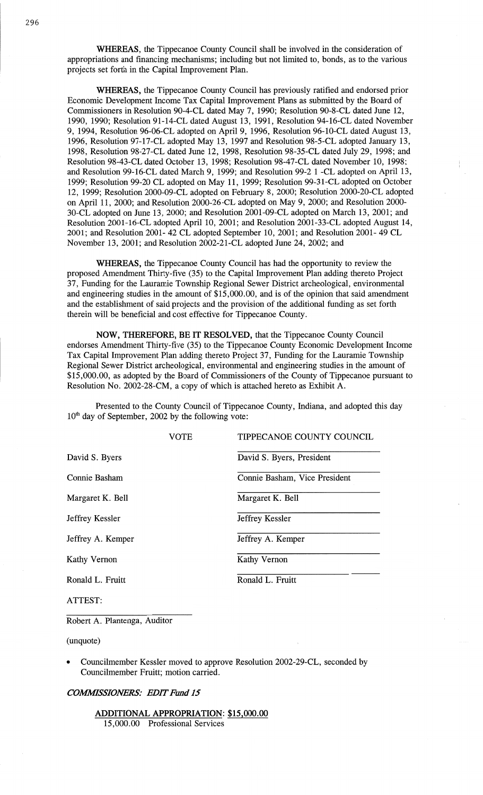**WHEREAS,** the Tippecanoe County Council **shall** be involved in the consideration of appropriations and financing mechanisms; including but not limited to, bonds, as to the various projects set **forth** in the Capital Improvement **Plan.** 

**WHEREAS,** the Tippecanoe County Council has previously ratified and endorsed prior Economic Development Income Tax Capital Improvement **Plans** as submitted by the Board of Commissioners in Resolution 90-4-CL dated May 7, 1990; Resolution 90-8-CL dated June 12, 1990, 1990; Resolution 91-14—CL dated August 13, 1991, Resolution 94-16—CL dated November 9, 1994, Resolution 96-06-CL adopted on April 9, 1996, Resolution 96-10-CL dated August 13, 1996, Resolution 97—17—CL adopted May 13, 1997 and Resolution 98-5-CL adopted January 13, 1998, Resolution 98-27—CL dated June 12, 1998, Resolution 98-35—CL dated July 29, 1998; and Resolution 98—43-CL dated October 13, 1998; Resolution 98-47—CL dated November 10, 1998; and Resolution 99—16-CL dated March 9, 1999; and Resolution 99-2 **1** -CL adopted on April 13, 1999; Resolution 99—20 CL adopted on May 11, 1999; Resolution 99—31—CL adopted on October 12, 1999; Resolution 2000—09—CL adopted on February 8, 2000; Resolution 2000-20—CL adopted on April 11, 2000; and Resolution 2000-26-CL adopted on May 9, 2000; and Resolution 2000-30—CL adoptcd on June 13, 2000; and Resolution 2001—09—CL adopted on March 13, 2001; and Resolution 2001—16—CL adopted April 10, **2001;** and Resolution 2001-33-CL adopted August 14, 2001; and Resolution 2001— 42 CL adopted September 10, 2001; and Resolution 2001- 49 CL November 13, 2001; and Resolution 2002-21-CL adopted June 24, 2002; and

**WHEREAS,** the Tippecanoe County Council has had the opportunity to review the proposed Amendment Thirty-five (35) to the Capital Improvement Plan adding thereto Project 37, Funding for the Lauramie Township Regional Sewer District archeological, environmental and engineering studies in the amount of \$15,000.00, and is of the opinion that said amendment and the establishment of said projects and the provision of the additional funding as set forth therein will be beneficial and cost effective for Tippecanoe County.

**NOW, THEREFORE,** BE IT **RESOLVED,** that the Tippecanoe County Council endorses Amendment Thirty-five (35) to the Tippecanoe County Economic Development Income Tax Capital Improvement Plan adding thereto Project 37 , Funding for the Lauramie Township Regional Sewer District archeological, environmental and engineering studies in the **amount** of \$15,000.00, as adopted by the Board of Commissioners of the County of **Tippecanoe** pursuant to Resolution No. 2002—28-CM, a copy of which is attached hereto as Exhibit A.

Presented to the County Council of Tippecanoe County, Indiana, and adopted **this** day 10th day of September, 2002 by the following **vote:** 

|                   | <b>VOTE</b> | TIPPECANOE COUNTY COUNCIL     |
|-------------------|-------------|-------------------------------|
| David S. Byers    |             | David S. Byers, President     |
| Connie Basham     |             | Connie Basham, Vice President |
| Margaret K. Bell  |             | Margaret K. Bell              |
| Jeffrey Kessler   |             | Jeffrey Kessler               |
| Jeffrey A. Kemper |             | Jeffrey A. Kemper             |
| Kathy Vernon      |             | <b>Kathy Vernon</b>           |
| Ronald L. Fruitt  |             | Ronald L. Fruitt              |
|                   |             |                               |

**ATTEST:** 

Robert A. Plantenga, Auditor

(unquote)

**0** Councilmember Kessler moved to approve Resolution 2002-29-CL, seconded by Councilmember Fruitt; motion carried.

#### *COMMSSIOWRS: EDIT Fund* 15

**ADDITIONAL APPROPRIATION:** \$15,000.00 15,000.00 Professional Services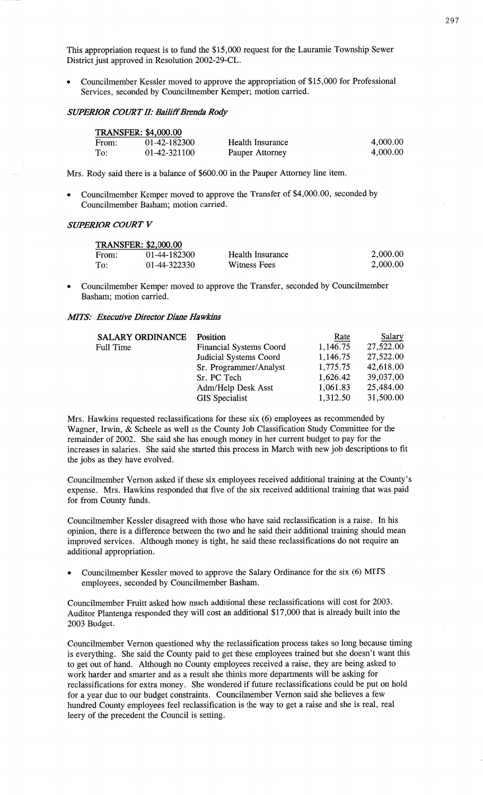**This** appropriation request is to fund the \$15,000 request for the Lauramie Township Sewer District just approved in Resolution **2002-29-CL.** 

*-* Councilmember Kessler moved to approve the appropriation of \$15 ,000 for Professional Services, seconded by Councilmember Kemper; motion carried.

# *SWERIOR COURT* II: *Bailifi'Btenda Rody*

| <b>TRANSFER: \$4,000.00</b> |              |                  |          |  |
|-----------------------------|--------------|------------------|----------|--|
| From:                       | 01-42-182300 | Health Insurance | 4,000.00 |  |
| To:                         | 01-42-321100 | Pauper Attorney  | 4,000.00 |  |

Mrs. Rody said there is **a** balance of \$600.00 in the Pauper Attorney **line** item.

**0** Councilmember Kemper moved to approve the Transfer of \$4,000.00, seconded by Councilmember Basham; motion carried.

### *SUPERIOR COWT V*

|       | <b>TRANSFER: \$2,000.00</b> |                  |          |
|-------|-----------------------------|------------------|----------|
| From: | 01-44-182300                | Health Insurance | 2,000.00 |
| To:   | 01-44-322330                | Witness Fees     | 2,000.00 |

**0** Councilmember Kemper moved to approve the Transfer, seconded by Councilmember Basham; motion carried.

# *MITS: Executive Director Diane Hawkins*

| <b>SALARY ORDINANCE</b> | Position                       | Rate     | Salary    |
|-------------------------|--------------------------------|----------|-----------|
| Full Time               | <b>Financial Systems Coord</b> | 1,146.75 | 27,522.00 |
|                         | Judicial Systems Coord         | 1,146.75 | 27,522.00 |
|                         | Sr. Programmer/Analyst         | 1,775.75 | 42,618.00 |
|                         | Sr. PC Tech                    | 1,626.42 | 39,037.00 |
|                         | Adm/Help Desk Asst             | 1,061.83 | 25,484.00 |
|                         | <b>GIS</b> Specialist          | 1,312.50 | 31,500.00 |

Mrs. Hawkins requested reclassifications for these six (6) employees as recommended by Wagner, Irwin,  $\&$  Scheele as well as the County Job Classification Study Committee for the remainder of 2002. She said she has enough money in her current budget to pay for the increases in salaries. She **said** she started this process in March with new job descriptions to fit the jobs as they **have** evolved.

Councihnember Vernon **asked** if these six employees received additional training at the County's expense. Mrs. Hawkins responded that five of the six received additional **training that** was paid for from County funds.

Councilmember Kessler disagreed with **those** who have **said** reclassification is **a** raise. In his opinion, there is **a** difference between the two and he said their additional **training** should **mean**  improved services. Although money is tight, he **said** these reclassifications do not require an additional appropriation.

**o** Councilmember Kessler moved to approve the Salary Ordinance for the six (6) **MITS**  employees, seconded by Councilmember Basham.

Councilmember Fruitt asked how much additional these reclassifications will cost for 2003. **Auditor** Plantenga responded they will cost an additional \$17,000 that is already built into the 2003 Budget.

Councilmember Vernon questioned why the reclassification process **takes** so long because timing is everything. She said the County paid to get **these** employees trained but she doesn't want this to get out of hand. Although no County employees received a raise, they are being asked to work harder and smarter and as a result she thinks more departments will be asking for reclassifications for extra money. She wondered if future reclassifications could be put on **hold**  for **a** year due to our budget **constraints.** Councilmember Vernon said she believes a few hundred County employees feel reclassification is the way to get **a** raise and she is real, real leery of the precedent the Council is setting.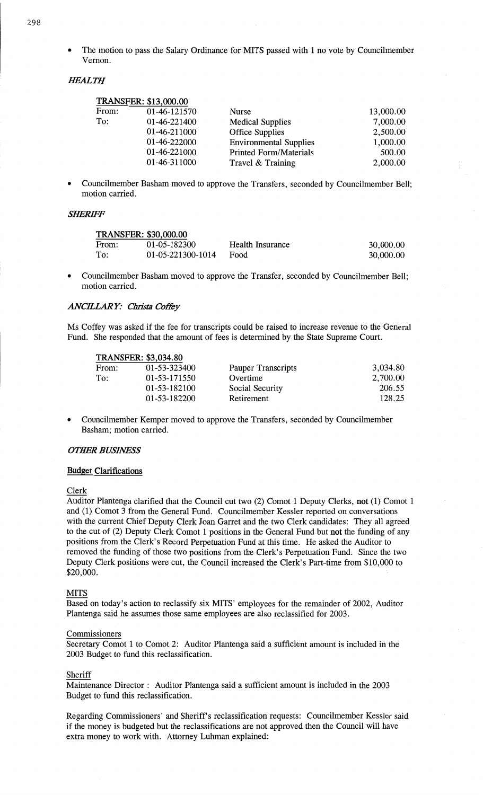**o** The **motion** to **pass** the Salary Ordinance for **MITS** passed with **1** no vote by Councilmember Vernon.

## *HEALTH*

|       | <b>TRANSFER: \$13,000.00</b> |                               |           |
|-------|------------------------------|-------------------------------|-----------|
| From: | 01-46-121570                 | <b>Nurse</b>                  | 13,000.00 |
| To:   | 01-46-221400                 | <b>Medical Supplies</b>       | 7,000.00  |
|       | 01-46-211000                 | <b>Office Supplies</b>        | 2,500.00  |
|       | 01-46-222000                 | <b>Environmental Supplies</b> | 1,000.00  |
|       | 01-46-221000                 | <b>Printed Form/Materials</b> | 500.00    |
|       | 01-46-311000                 | Travel & Training             | 2,000.00  |

**<sup>0</sup>**Councilmember **Basham** moved to **approve** the Transfers, seconded by **Councilmember Bell; motion** carried.

#### *SHERIFF*

| <b>TRANSFER: \$30,000.00</b> |                   |                  |           |  |  |
|------------------------------|-------------------|------------------|-----------|--|--|
| From:                        | 01-05-182300      | Health Insurance | 30,000.00 |  |  |
| To:                          | 01-05-221300-1014 | Food             | 30,000.00 |  |  |

**0** Councilmember **Basham** moved to approve the Transfer, seconded by Councilmember Bell; **motion** carried.

## *ANCELAR* Y: Christa *Cofi'éy*

Ms **Coffey** was **asked** if the fee for **transcripts** could be **raised** to increase revenue to the General Fund. She **responded** that the amount of **fees** is **determined** by the **State Supreme Court.** 

|       | <b>TRANSFER: \$3,034.80</b> |                    |          |
|-------|-----------------------------|--------------------|----------|
| From: | 01-53-323400                | Pauper Transcripts | 3,034.80 |
| To:   | 01-53-171550                | Overtime           | 2,700.00 |
|       | 01-53-182100                | Social Security    | 206.55   |
|       | 01-53-182200                | Retirement         | 128.25   |

**-** Councilmember Kemper moved to approve the Transfers, **seconded** by Councilmember Basham; motion carried.

## **OTHER BUSINESS**

#### **Budget Clarifications**

#### Clerk

Auditor Plantenga clarified **that** the Council cut two (2) Comot **1** Deputy Clerks, not (1) **Comot 1**  and (1) Comot 3 from the General Fund. Councilmember Kessler reported on conversations with the current **Chief** Deputy Clerk Joan Garret and the two Clerk candidates: They all agreed to the cut of (2) Deputy Clerk Comot **1** positions in the General Fundbut not the funding of any positions from the **Clerk's** Record Perpetuation Fund at **this time.** He **asked** the Auditor to removed the funding of those two positions from the Clerk's Perpetuation Fund. Since the two Deputy Clerk **positions** were cut, the Council increased the Clerk's Part-time from \$10,000 to \$20,000. **'** 

#### MITS

Based on **today's action** to reclassify six **MITS'** employees for the **remainder** of 2002, **Auditor**  Plantenga **said** he **assumes** those **same employees** are also reclassified for **2003.** 

#### **Commissioners**

Secretary **Comot l** to **Comot** 2: Auditor **Plantenga said** a sufficient **amount** is included in the 2003 Budget to **fund** this **reclassification.** 

#### Sheriff

**Maintenance** Director : **Auditor Plantenga** said **a sufficient amount** is **included** in the 2003 Budget to fund **this** reclassification.

Regarding Commissioners' and Sheriff's reclassification requests: Councilmember Kessler said if the money is budgeted but the reclassifications are not approved then the Council will have extra money to work with. Attorney Luhman **explained:**